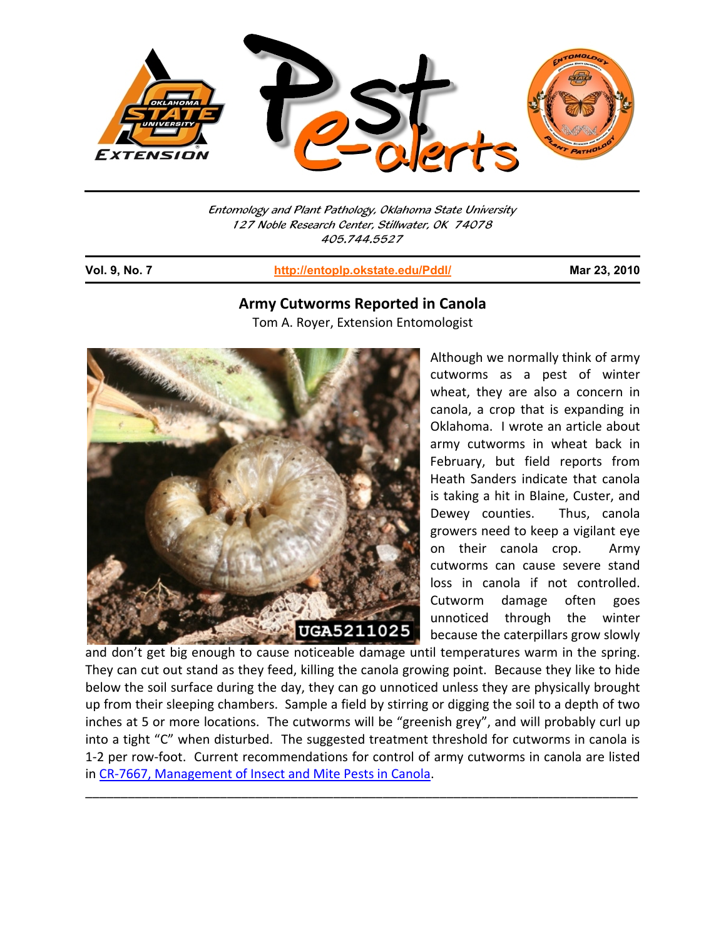

Entomology and Plant Pathology, Oklahoma State University 127 Noble Research Center, Stillwater, OK 74078 405.744.5527

j

**Vol. 9, No. 7 http://entoplp.okstate.edu/Pddl/ Mar 23, 2010**

## **Army Cutworms Reported in Canola** Tom A. Royer, Extension Entomologist



Although we normally think of army cutworms as a pest of winter wheat, they are also a concern in canola, a crop that is expanding in Oklahoma. I wrote an article about army cutworms in wheat back in February, but field reports from Heath Sanders indicate that canola is taking a hit in Blaine, Custer, and Dewey counties. Thus, canola growers need to keep a vigilant eye on their canola crop. Army cutworms can cause severe stand loss in canola if not controlled. Cutworm damage often goes unnoticed through the winter because the caterpillars grow slowly

and don't get big enough to cause noticeable damage until temperatures warm in the spring. They can cut out stand as they feed, killing the canola growing point. Because they like to hide below the soil surface during the day, they can go unnoticed unless they are physically brought up from their sleeping chambers. Sample a field by stirring or digging the soil to a depth of two inches at 5 or more locations. The cutworms will be "greenish grey", and will probably curl up into a tight "C" when disturbed. The suggested treatment threshold for cutworms in canola is 1-2 per row-foot. Current recommendations for control of army cutworms in canola are listed in CR‐7667, Management of Insect and Mite Pests in Canola.

\_\_\_\_\_\_\_\_\_\_\_\_\_\_\_\_\_\_\_\_\_\_\_\_\_\_\_\_\_\_\_\_\_\_\_\_\_\_\_\_\_\_\_\_\_\_\_\_\_\_\_\_\_\_\_\_\_\_\_\_\_\_\_\_\_\_\_\_\_\_\_\_\_\_\_\_\_\_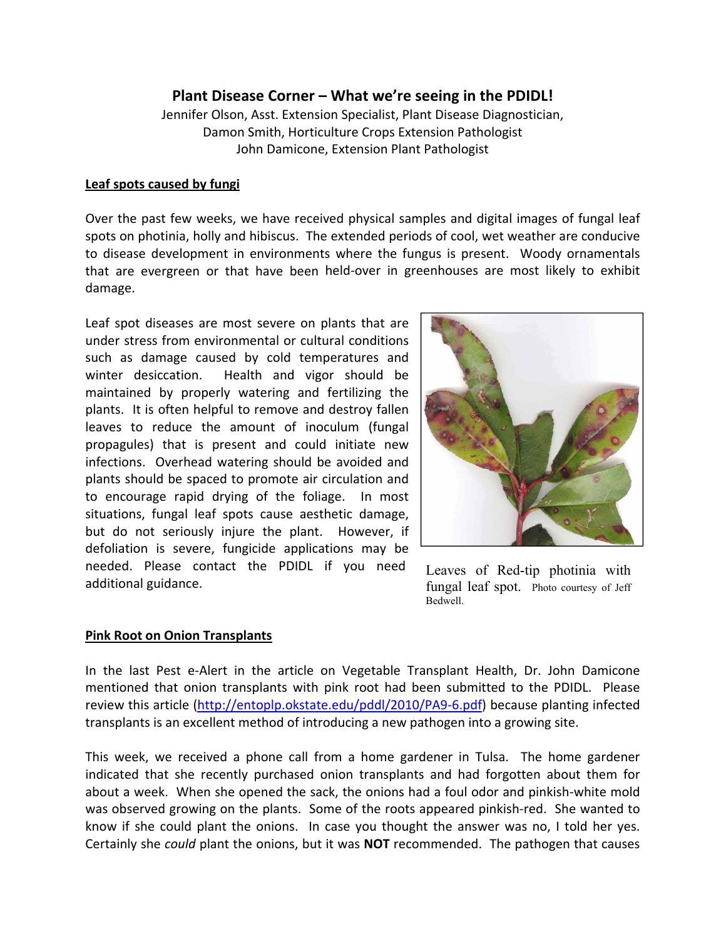# **Plant Disease Corner – What we're seeing in the PDIDL!**

Jennifer Olson, Asst. Extension Specialist, Plant Disease Diagnostician, Damon Smith, Horticulture Crops Extension Pathologist John Damicone, Extension Plant Pathologist

#### **Leaf spots caused by fungi**

Over the past few weeks, we have received physical samples and digital images of fungal leaf spots on photinia, holly and hibiscus. The extended periods of cool, wet weather are conducive to disease development in environments where the fungus is present. Woody ornamentals that are evergreen or that have been held‐over in greenhouses are most likely to exhibit damage.

Leaf spot diseases are most severe on plants that are under stress from environmental or cultural conditions such as damage caused by cold temperatures and winter desiccation. Health and vigor should be maintained by properly watering and fertilizing the plants. It is often helpful to remove and destroy fallen leaves to reduce the amount of inoculum (fungal propagules) that is present and could initiate new infections. Overhead watering should be avoided and plants should be spaced to promote air circulation and to encourage rapid drying of the foliage. In most situations, fungal leaf spots cause aesthetic damage, but do not seriously injure the plant. However, if defoliation is severe, fungicide applications may be needed. Please contact the PDIDL if you need additional guidance.



Leaves of Red-tip photinia with fungal leaf spot. Photo courtesy of Jeff Bedwell.

### **Pink Root on Onion Transplants**

In the last Pest e‐Alert in the article on Vegetable Transplant Health, Dr. John Damicone mentioned that onion transplants with pink root had been submitted to the PDIDL. Please review this article (http://entoplp.okstate.edu/pddl/2010/PA9‐6.pdf) because planting infected transplants is an excellent method of introducing a new pathogen into a growing site.

This week, we received a phone call from a home gardener in Tulsa. The home gardener indicated that she recently purchased onion transplants and had forgotten about them for about a week. When she opened the sack, the onions had a foul odor and pinkish-white mold was observed growing on the plants. Some of the roots appeared pinkish-red. She wanted to know if she could plant the onions. In case you thought the answer was no, I told her yes. Certainly she *could* plant the onions, but it was **NOT** recommended. The pathogen that causes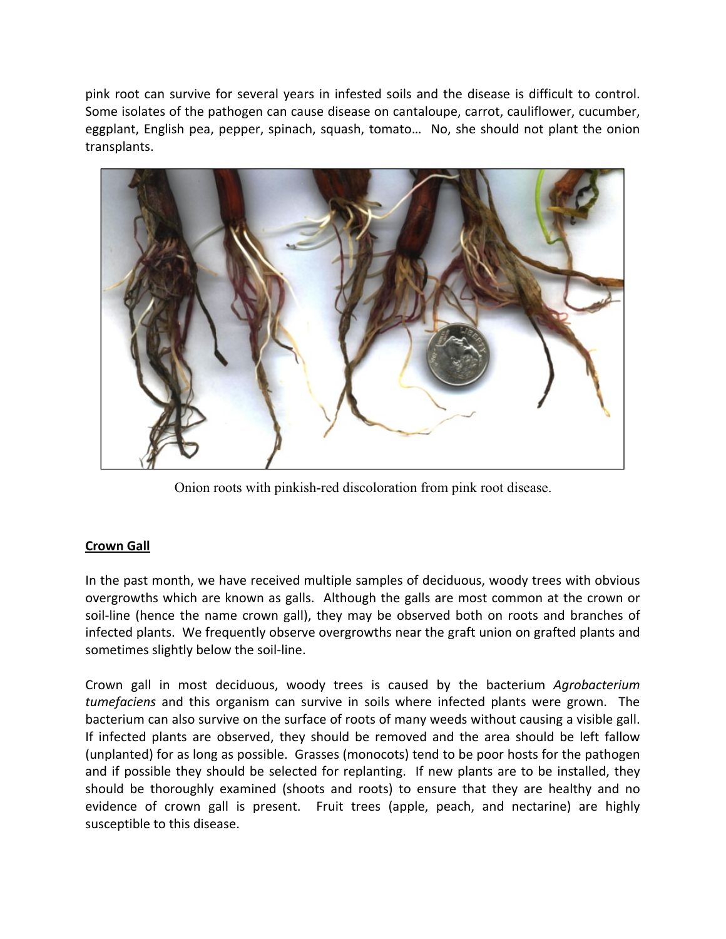pink root can survive for several years in infested soils and the disease is difficult to control. Some isolates of the pathogen can cause disease on cantaloupe, carrot, cauliflower, cucumber, eggplant, English pea, pepper, spinach, squash, tomato… No, she should not plant the onion transplants.



Onion roots with pinkish-red discoloration from pink root disease.

# **Crown Gall**

In the past month, we have received multiple samples of deciduous, woody trees with obvious overgrowths which are known as galls. Although the galls are most common at the crown or soil‐line (hence the name crown gall), they may be observed both on roots and branches of infected plants. We frequently observe overgrowths near the graft union on grafted plants and sometimes slightly below the soil‐line.

Crown gall in most deciduous, woody trees is caused by the bacterium *Agrobacterium tumefaciens* and this organism can survive in soils where infected plants were grown. The bacterium can also survive on the surface of roots of many weeds without causing a visible gall. If infected plants are observed, they should be removed and the area should be left fallow (unplanted) for as long as possible. Grasses (monocots) tend to be poor hosts for the pathogen and if possible they should be selected for replanting. If new plants are to be installed, they should be thoroughly examined (shoots and roots) to ensure that they are healthy and no evidence of crown gall is present. Fruit trees (apple, peach, and nectarine) are highly susceptible to this disease.